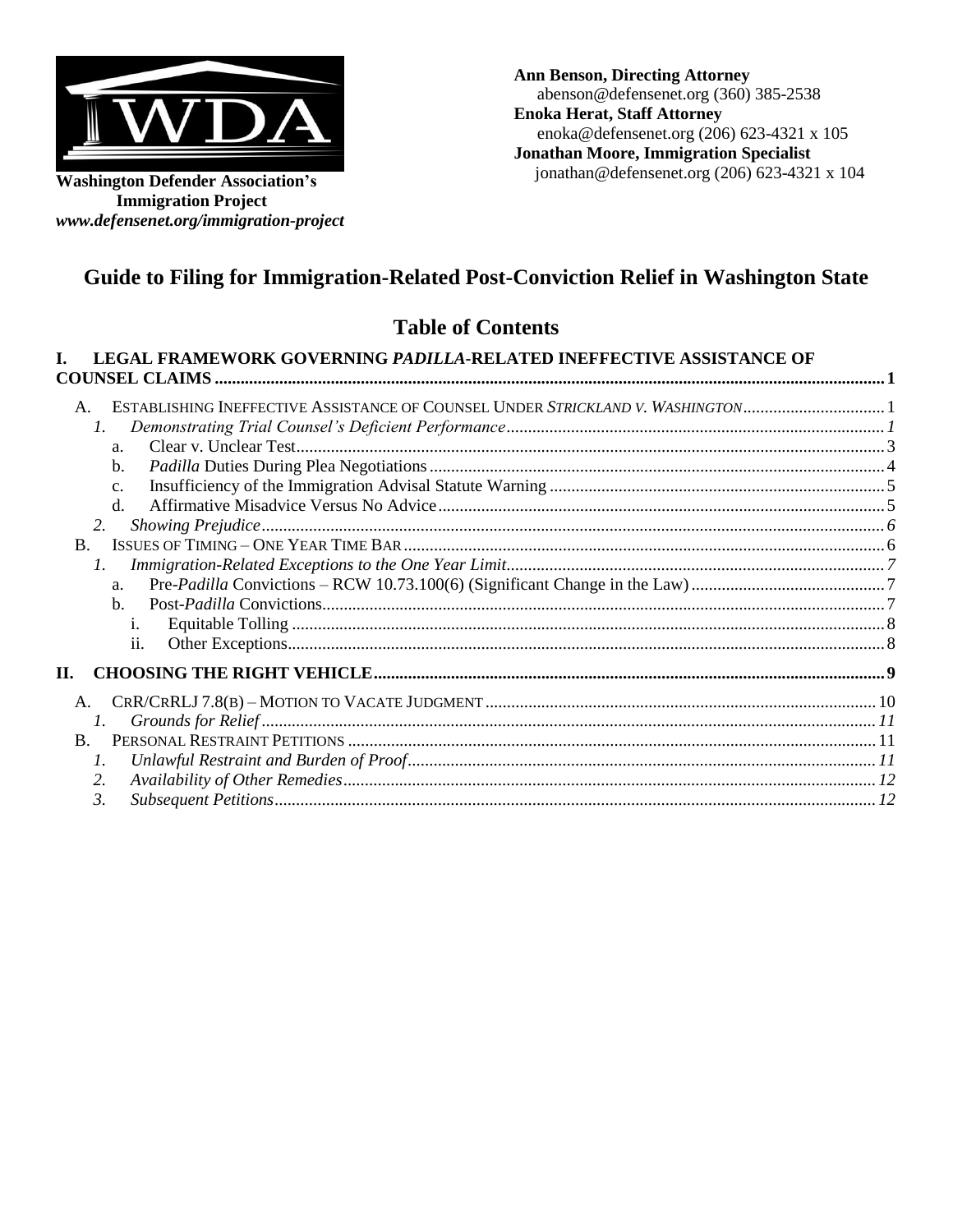

**Washington Defender Association's Immigration Project**  *[www.defensenet.org/immigration-project](http://www.defensenet.org/immigration-project)* **Ann Benson, Directing Attorney**  [abenson@defensenet.org](mailto:abenson@defensenet.org) (360) 385-2538 **Enoka Herat, Staff Attorney**  [enoka@defensenet.org](mailto:enoka@defensenet.org) (206) 623-4321 x 105 **Jonathan Moore, Immigration Specialist**  [jonathan@defensenet.org](mailto:jonathan@defensenet.org) (206) 623-4321 x 104

# **Guide to Filing for Immigration-Related Post-Conviction Relief in Washington State**

# **Table of Contents**

| LEGAL FRAMEWORK GOVERNING PADILLA-RELATED INEFFECTIVE ASSISTANCE OF                                                                                                                                                                                             |  |
|-----------------------------------------------------------------------------------------------------------------------------------------------------------------------------------------------------------------------------------------------------------------|--|
| ESTABLISHING INEFFECTIVE ASSISTANCE OF COUNSEL UNDER STRICKLAND V. WASHINGTON1<br>A.<br>$\mathcal{I}$ .<br>a <sub>z</sub><br>$\mathbf{b}$ .<br>C <sub>1</sub><br>$d$ .<br>2.<br>$\mathbf{B}$ .<br>$\mathfrak{1}.$<br>a.<br>$h_{\cdot}$<br>$\mathbf{1}$ .<br>11. |  |
| H.                                                                                                                                                                                                                                                              |  |
| A.<br>$\mathcal{I}$ .                                                                                                                                                                                                                                           |  |
| $\mathbf{B}$ .<br>$\mathcal{I}$ .                                                                                                                                                                                                                               |  |
| 2.                                                                                                                                                                                                                                                              |  |
| $\mathfrak{Z}$                                                                                                                                                                                                                                                  |  |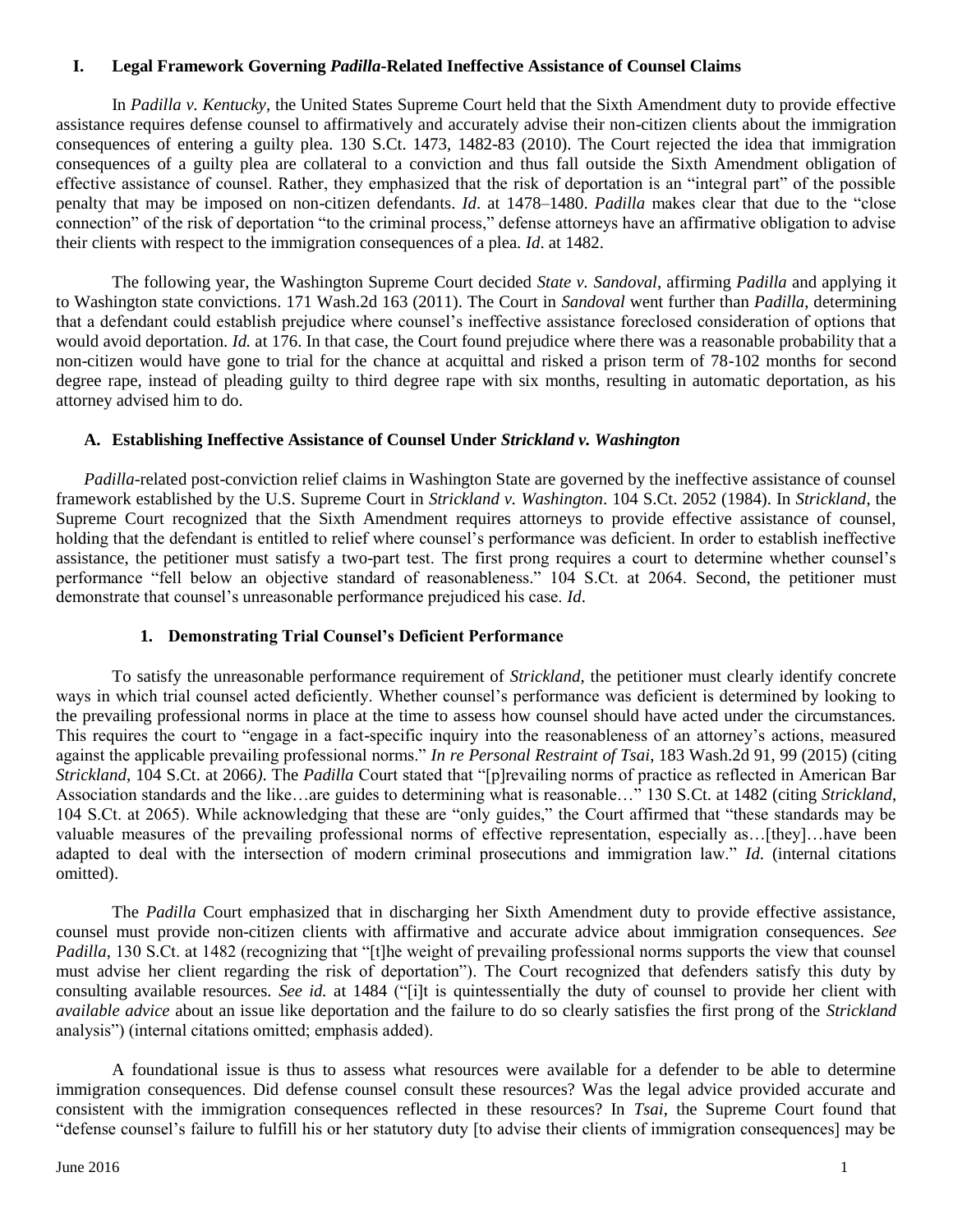## <span id="page-1-0"></span>**I. Legal Framework Governing** *Padilla***-Related Ineffective Assistance of Counsel Claims**

In *Padilla v. Kentucky*, the United States Supreme Court held that the Sixth Amendment duty to provide effective assistance requires defense counsel to affirmatively and accurately advise their non-citizen clients about the immigration consequences of entering a guilty plea. 130 S.Ct. 1473, 1482-83 (2010). The Court rejected the idea that immigration consequences of a guilty plea are collateral to a conviction and thus fall outside the Sixth Amendment obligation of effective assistance of counsel. Rather, they emphasized that the risk of deportation is an "integral part" of the possible penalty that may be imposed on non-citizen defendants. *Id*. at 1478–1480. *Padilla* makes clear that due to the "close connection" of the risk of deportation "to the criminal process," defense attorneys have an affirmative obligation to advise their clients with respect to the immigration consequences of a plea. *Id*. at 1482.

The following year, the Washington Supreme Court decided *State v. Sandoval*, affirming *Padilla* and applying it to Washington state convictions. 171 Wash.2d 163 (2011). The Court in *Sandoval* went further than *Padilla*, determining that a defendant could establish prejudice where counsel's ineffective assistance foreclosed consideration of options that would avoid deportation. *Id.* at 176. In that case, the Court found prejudice where there was a reasonable probability that a non-citizen would have gone to trial for the chance at acquittal and risked a prison term of 78-102 months for second degree rape, instead of pleading guilty to third degree rape with six months, resulting in automatic deportation, as his attorney advised him to do.

## <span id="page-1-1"></span>**A. Establishing Ineffective Assistance of Counsel Under** *Strickland v. Washington*

*Padilla*-related post-conviction relief claims in Washington State are governed by the ineffective assistance of counsel framework established by the U.S. Supreme Court in *Strickland v. Washington*. 104 S.Ct. 2052 (1984). In *Strickland*, the Supreme Court recognized that the Sixth Amendment requires attorneys to provide effective assistance of counsel, holding that the defendant is entitled to relief where counsel's performance was deficient. In order to establish ineffective assistance, the petitioner must satisfy a two-part test. The first prong requires a court to determine whether counsel's performance "fell below an objective standard of reasonableness." 104 S.Ct. at 2064. Second, the petitioner must demonstrate that counsel's unreasonable performance prejudiced his case. *Id*.

## **1. Demonstrating Trial Counsel's Deficient Performance**

<span id="page-1-2"></span>To satisfy the unreasonable performance requirement of *Strickland*, the petitioner must clearly identify concrete ways in which trial counsel acted deficiently. Whether counsel's performance was deficient is determined by looking to the prevailing professional norms in place at the time to assess how counsel should have acted under the circumstances. This requires the court to "engage in a fact-specific inquiry into the reasonableness of an attorney's actions, measured against the applicable prevailing professional norms." *In re Personal Restraint of Tsai*, 183 Wash.2d 91, 99 (2015) (citing *Strickland*, 104 S.Ct. at 2066*)*. The *Padilla* Court stated that "[p]revailing norms of practice as reflected in American Bar Association standards and the like…are guides to determining what is reasonable…" 130 S.Ct. at 1482 (citing *Strickland*, 104 S.Ct. at 2065). While acknowledging that these are "only guides," the Court affirmed that "these standards may be valuable measures of the prevailing professional norms of effective representation, especially as…[they]…have been adapted to deal with the intersection of modern criminal prosecutions and immigration law." *Id*. (internal citations omitted).

The *Padilla* Court emphasized that in discharging her Sixth Amendment duty to provide effective assistance, counsel must provide non-citizen clients with affirmative and accurate advice about immigration consequences. *See Padilla*, 130 S.Ct. at 1482 (recognizing that "[t]he weight of prevailing professional norms supports the view that counsel must advise her client regarding the risk of deportation"). The Court recognized that defenders satisfy this duty by consulting available resources. *See id.* at 1484 ("[i]t is quintessentially the duty of counsel to provide her client with *available advice* about an issue like deportation and the failure to do so clearly satisfies the first prong of the *Strickland* analysis") (internal citations omitted; emphasis added).

A foundational issue is thus to assess what resources were available for a defender to be able to determine immigration consequences. Did defense counsel consult these resources? Was the legal advice provided accurate and consistent with the immigration consequences reflected in these resources? In *Tsai*, the Supreme Court found that "defense counsel's failure to fulfill his or her statutory duty [to advise their clients of immigration consequences] may be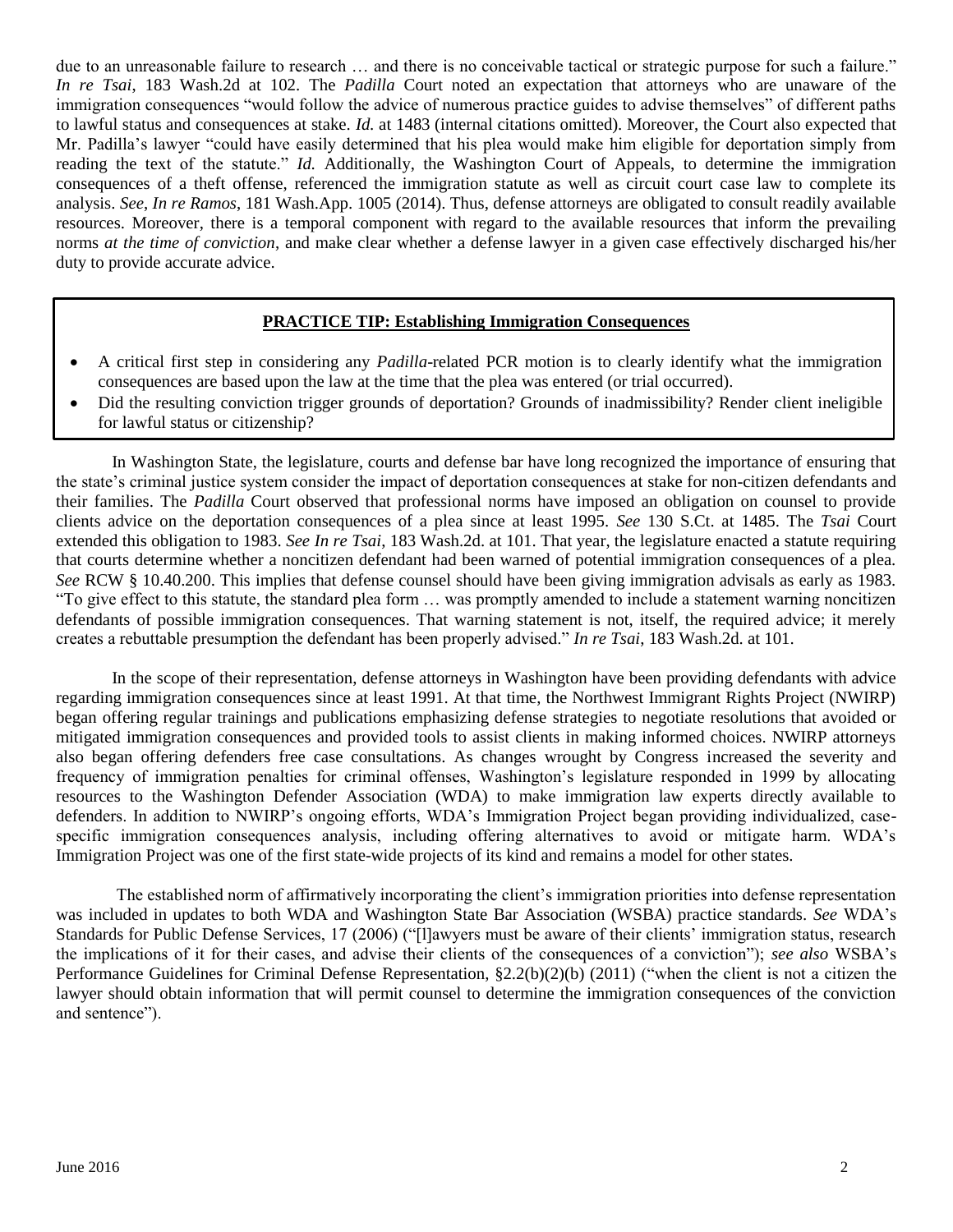due to an unreasonable failure to research … and there is no conceivable tactical or strategic purpose for such a failure." *In re Tsai*, 183 Wash.2d at 102. The *Padilla* Court noted an expectation that attorneys who are unaware of the immigration consequences "would follow the advice of numerous practice guides to advise themselves" of different paths to lawful status and consequences at stake. *Id.* at 1483 (internal citations omitted). Moreover, the Court also expected that Mr. Padilla's lawyer "could have easily determined that his plea would make him eligible for deportation simply from reading the text of the statute." *Id.* Additionally, the Washington Court of Appeals, to determine the immigration consequences of a theft offense, referenced the immigration statute as well as circuit court case law to complete its analysis. *See*, *In re Ramos*, 181 Wash.App. 1005 (2014). Thus, defense attorneys are obligated to consult readily available resources. Moreover, there is a temporal component with regard to the available resources that inform the prevailing norms *at the time of conviction*, and make clear whether a defense lawyer in a given case effectively discharged his/her duty to provide accurate advice.

## **PRACTICE TIP: Establishing Immigration Consequences**

- A critical first step in considering any *Padilla*-related PCR motion is to clearly identify what the immigration consequences are based upon the law at the time that the plea was entered (or trial occurred).
- Did the resulting conviction trigger grounds of deportation? Grounds of inadmissibility? Render client ineligible for lawful status or citizenship?

In Washington State, the legislature, courts and defense bar have long recognized the importance of ensuring that the state's criminal justice system consider the impact of deportation consequences at stake for non-citizen defendants and their families. The *Padilla* Court observed that professional norms have imposed an obligation on counsel to provide clients advice on the deportation consequences of a plea since at least 1995. *See* 130 S.Ct. at 1485. The *Tsai* Court extended this obligation to 1983. *See In re Tsai*, 183 Wash.2d. at 101. That year, the legislature enacted a statute requiring that courts determine whether a noncitizen defendant had been warned of potential immigration consequences of a plea. *See* RCW § 10.40.200. This implies that defense counsel should have been giving immigration advisals as early as 1983. "To give effect to this statute, the standard plea form … was promptly amended to include a statement warning noncitizen defendants of possible immigration consequences. That warning statement is not, itself, the required advice; it merely creates a rebuttable presumption the defendant has been properly advised." *In re Tsai*, 183 Wash.2d. at 101.

In the scope of their representation, defense attorneys in Washington have been providing defendants with advice regarding immigration consequences since at least 1991. At that time, the Northwest Immigrant Rights Project (NWIRP) began offering regular trainings and publications emphasizing defense strategies to negotiate resolutions that avoided or mitigated immigration consequences and provided tools to assist clients in making informed choices. NWIRP attorneys also began offering defenders free case consultations. As changes wrought by Congress increased the severity and frequency of immigration penalties for criminal offenses, Washington's legislature responded in 1999 by allocating resources to the Washington Defender Association (WDA) to make immigration law experts directly available to defenders. In addition to NWIRP's ongoing efforts, WDA's Immigration Project began providing individualized, casespecific immigration consequences analysis, including offering alternatives to avoid or mitigate harm. WDA's Immigration Project was one of the first state-wide projects of its kind and remains a model for other states.

The established norm of affirmatively incorporating the client's immigration priorities into defense representation was included in updates to both WDA and Washington State Bar Association (WSBA) practice standards. *See* WDA's Standards for Public Defense Services, 17 (2006) ("[l]awyers must be aware of their clients' immigration status, research the implications of it for their cases, and advise their clients of the consequences of a conviction"); *see also* WSBA's Performance Guidelines for Criminal Defense Representation, §2.2(b)(2)(b) (2011) ("when the client is not a citizen the lawyer should obtain information that will permit counsel to determine the immigration consequences of the conviction and sentence").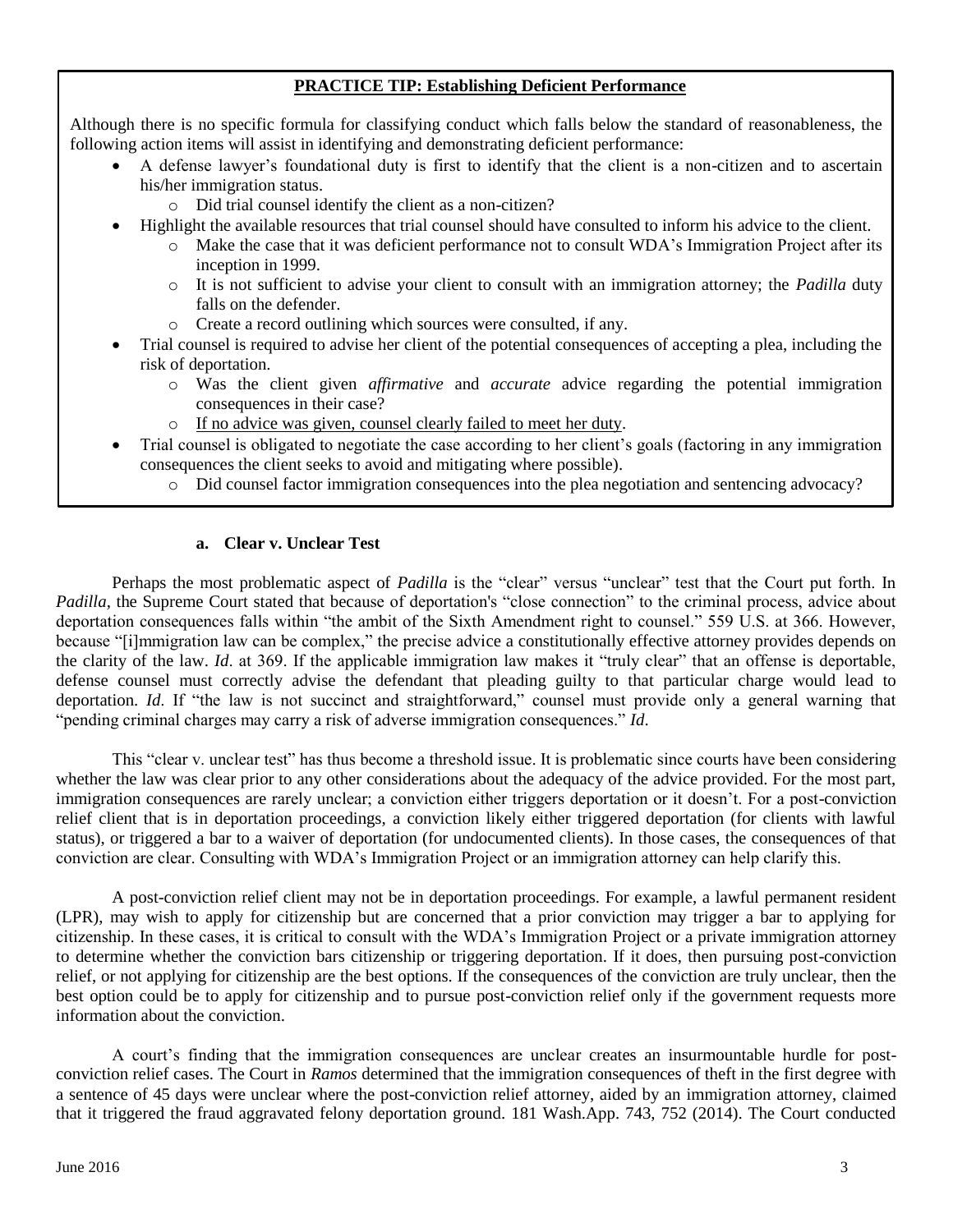## **PRACTICE TIP: Establishing Deficient Performance**

Although there is no specific formula for classifying conduct which falls below the standard of reasonableness, the following action items will assist in identifying and demonstrating deficient performance:

- A defense lawyer's foundational duty is first to identify that the client is a non-citizen and to ascertain his/her immigration status.
	- o Did trial counsel identify the client as a non-citizen?
- Highlight the available resources that trial counsel should have consulted to inform his advice to the client.
	- o Make the case that it was deficient performance not to consult WDA's Immigration Project after its inception in 1999.
	- o It is not sufficient to advise your client to consult with an immigration attorney; the *Padilla* duty falls on the defender.
	- o Create a record outlining which sources were consulted, if any.
- Trial counsel is required to advise her client of the potential consequences of accepting a plea, including the risk of deportation.
	- o Was the client given *affirmative* and *accurate* advice regarding the potential immigration consequences in their case?
	- o If no advice was given, counsel clearly failed to meet her duty.
- Trial counsel is obligated to negotiate the case according to her client's goals (factoring in any immigration consequences the client seeks to avoid and mitigating where possible).
	- o Did counsel factor immigration consequences into the plea negotiation and sentencing advocacy?

#### **a. Clear v. Unclear Test**

<span id="page-3-0"></span>Perhaps the most problematic aspect of *Padilla* is the "clear" versus "unclear" test that the Court put forth. In *Padilla*, the Supreme Court stated that because of deportation's "close connection" to the criminal process, advice about deportation consequences falls within "the ambit of the Sixth Amendment right to counsel." 559 U.S. at 366. However, because "[i]mmigration law can be complex," the precise advice a constitutionally effective attorney provides depends on the clarity of the law. *Id*. at 369. If the applicable immigration law makes it "truly clear" that an offense is deportable, defense counsel must correctly advise the defendant that pleading guilty to that particular charge would lead to deportation. *Id*. If "the law is not succinct and straightforward," counsel must provide only a general warning that "pending criminal charges may carry a risk of adverse immigration consequences." *Id*.

This "clear v. unclear test" has thus become a threshold issue. It is problematic since courts have been considering whether the law was clear prior to any other considerations about the adequacy of the advice provided. For the most part, immigration consequences are rarely unclear; a conviction either triggers deportation or it doesn't. For a post-conviction relief client that is in deportation proceedings, a conviction likely either triggered deportation (for clients with lawful status), or triggered a bar to a waiver of deportation (for undocumented clients). In those cases, the consequences of that conviction are clear. Consulting with WDA's Immigration Project or an immigration attorney can help clarify this.

A post-conviction relief client may not be in deportation proceedings. For example, a lawful permanent resident (LPR), may wish to apply for citizenship but are concerned that a prior conviction may trigger a bar to applying for citizenship. In these cases, it is critical to consult with the WDA's Immigration Project or a private immigration attorney to determine whether the conviction bars citizenship or triggering deportation. If it does, then pursuing post-conviction relief, or not applying for citizenship are the best options. If the consequences of the conviction are truly unclear, then the best option could be to apply for citizenship and to pursue post-conviction relief only if the government requests more information about the conviction.

A court's finding that the immigration consequences are unclear creates an insurmountable hurdle for postconviction relief cases. The Court in *Ramos* determined that the immigration consequences of theft in the first degree with a sentence of 45 days were unclear where the post-conviction relief attorney, aided by an immigration attorney, claimed that it triggered the fraud aggravated felony deportation ground. 181 Wash.App. 743, 752 (2014). The Court conducted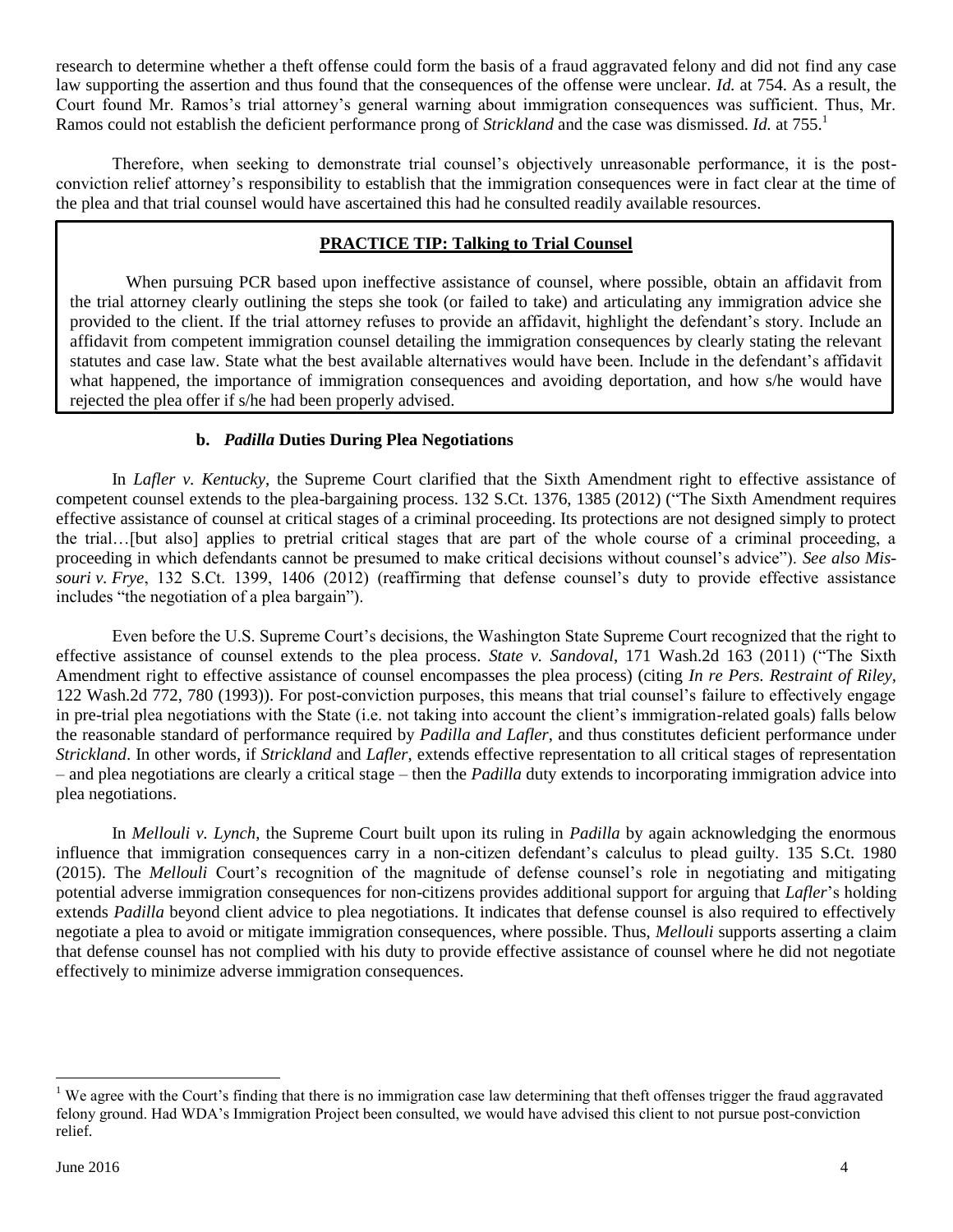research to determine whether a theft offense could form the basis of a fraud aggravated felony and did not find any case law supporting the assertion and thus found that the consequences of the offense were unclear. *Id.* at 754. As a result, the Court found Mr. Ramos's trial attorney's general warning about immigration consequences was sufficient. Thus, Mr. Ramos could not establish the deficient performance prong of *Strickland* and the case was dismissed. *Id.* at 755.<sup>1</sup>

Therefore, when seeking to demonstrate trial counsel's objectively unreasonable performance, it is the postconviction relief attorney's responsibility to establish that the immigration consequences were in fact clear at the time of the plea and that trial counsel would have ascertained this had he consulted readily available resources.

## **PRACTICE TIP: Talking to Trial Counsel**

When pursuing PCR based upon ineffective assistance of counsel, where possible, obtain an affidavit from the trial attorney clearly outlining the steps she took (or failed to take) and articulating any immigration advice she provided to the client. If the trial attorney refuses to provide an affidavit, highlight the defendant's story. Include an affidavit from competent immigration counsel detailing the immigration consequences by clearly stating the relevant statutes and case law. State what the best available alternatives would have been. Include in the defendant's affidavit what happened, the importance of immigration consequences and avoiding deportation, and how s/he would have rejected the plea offer if s/he had been properly advised.

## **b.** *Padilla* **Duties During Plea Negotiations**

<span id="page-4-0"></span>In *Lafler v. Kentucky*, the Supreme Court clarified that the Sixth Amendment right to effective assistance of competent counsel extends to the plea-bargaining process. 132 S.Ct. 1376, 1385 (2012) ("The Sixth Amendment requires effective assistance of counsel at critical stages of a criminal proceeding. Its protections are not designed simply to protect the trial…[but also] applies to pretrial critical stages that are part of the whole course of a criminal proceeding, a proceeding in which defendants cannot be presumed to make critical decisions without counsel's advice"). *See also Missouri v. Frye*, 132 S.Ct. 1399, 1406 (2012) (reaffirming that defense counsel's duty to provide effective assistance includes "the negotiation of a plea bargain").

Even before the U.S. Supreme Court's decisions, the Washington State Supreme Court recognized that the right to effective assistance of counsel extends to the plea process. *State v. Sandoval*, 171 Wash.2d 163 (2011) ("The Sixth Amendment right to effective assistance of counsel encompasses the plea process) (citing *In re Pers. Restraint of Riley,* 122 Wash.2d 772, 780 (1993)). For post-conviction purposes, this means that trial counsel's failure to effectively engage in pre-trial plea negotiations with the State (i.e. not taking into account the client's immigration-related goals) falls below the reasonable standard of performance required by *Padilla and Lafler*, and thus constitutes deficient performance under *Strickland*. In other words, if *Strickland* and *Lafler*, extends effective representation to all critical stages of representation – and plea negotiations are clearly a critical stage – then the *Padilla* duty extends to incorporating immigration advice into plea negotiations.

In *Mellouli v. Lynch*, the Supreme Court built upon its ruling in *Padilla* by again acknowledging the enormous influence that immigration consequences carry in a non-citizen defendant's calculus to plead guilty. 135 S.Ct. 1980 (2015). The *Mellouli* Court's recognition of the magnitude of defense counsel's role in negotiating and mitigating potential adverse immigration consequences for non-citizens provides additional support for arguing that *Lafler*'s holding extends *Padilla* beyond client advice to plea negotiations. It indicates that defense counsel is also required to effectively negotiate a plea to avoid or mitigate immigration consequences, where possible. Thus, *Mellouli* supports asserting a claim that defense counsel has not complied with his duty to provide effective assistance of counsel where he did not negotiate effectively to minimize adverse immigration consequences.

 $\overline{a}$ 

<sup>&</sup>lt;sup>1</sup> We agree with the Court's finding that there is no immigration case law determining that theft offenses trigger the fraud aggravated felony ground. Had WDA's Immigration Project been consulted, we would have advised this client to not pursue post-conviction relief.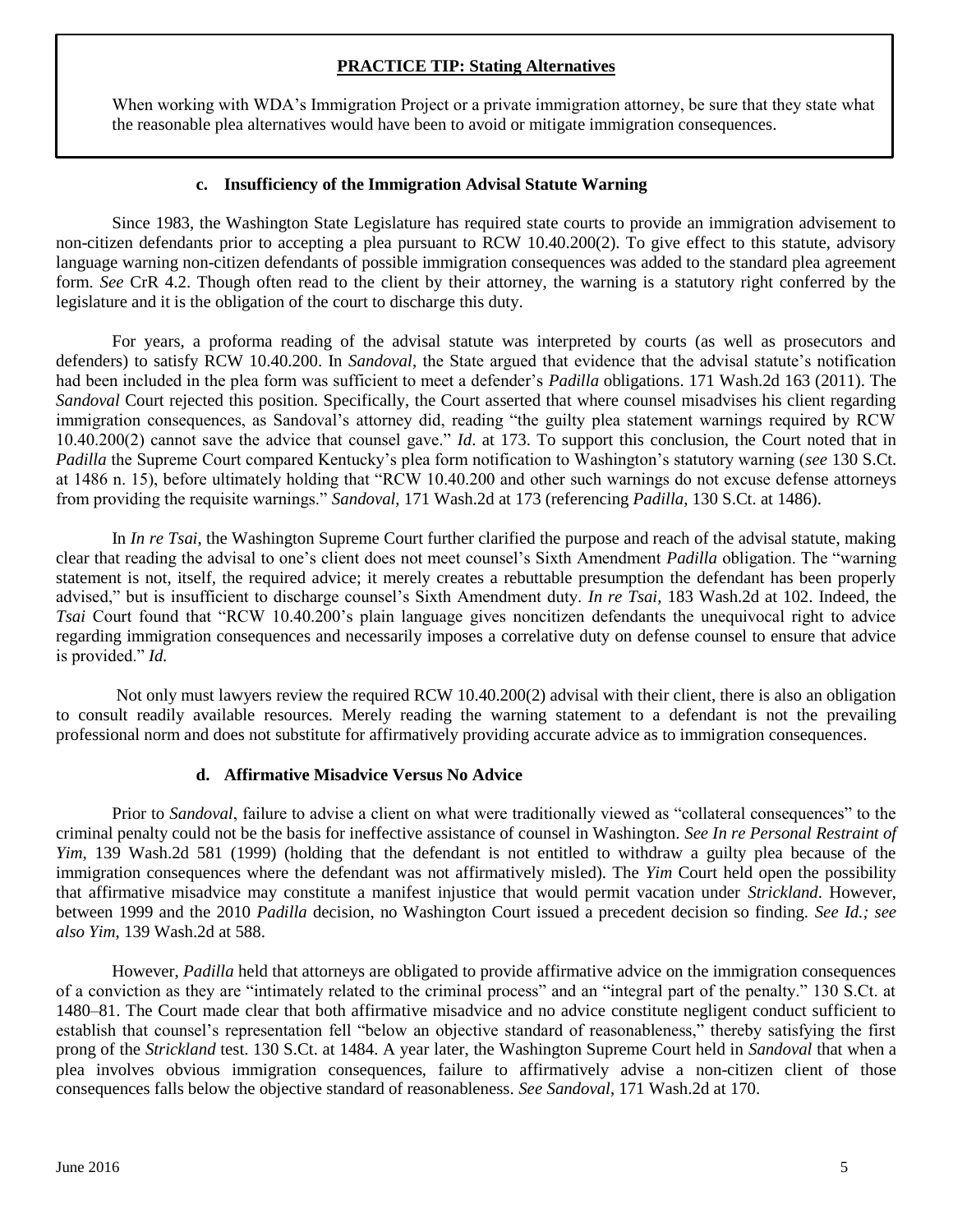## **PRACTICE TIP: Stating Alternatives**

When working with WDA's Immigration Project or a private immigration attorney, be sure that they state what the reasonable plea alternatives would have been to avoid or mitigate immigration consequences.

#### **c. Insufficiency of the Immigration Advisal Statute Warning**

<span id="page-5-0"></span>Since 1983, the Washington State Legislature has required state courts to provide an immigration advisement to non-citizen defendants prior to accepting a plea pursuant to RCW 10.40.200(2). To give effect to this statute, advisory language warning non-citizen defendants of possible immigration consequences was added to the standard plea agreement form. *See* CrR 4.2. Though often read to the client by their attorney, the warning is a statutory right conferred by the legislature and it is the obligation of the court to discharge this duty.

For years, a proforma reading of the advisal statute was interpreted by courts (as well as prosecutors and defenders) to satisfy RCW 10.40.200. In *Sandoval*, the State argued that evidence that the advisal statute's notification had been included in the plea form was sufficient to meet a defender's *Padilla* obligations. 171 Wash.2d 163 (2011). The *Sandoval* Court rejected this position. Specifically, the Court asserted that where counsel misadvises his client regarding immigration consequences, as Sandoval's attorney did, reading "the guilty plea statement warnings required by RCW 10.40.200(2) cannot save the advice that counsel gave." *Id*. at 173. To support this conclusion, the Court noted that in *Padilla* the Supreme Court compared Kentucky's plea form notification to Washington's statutory warning (*see* 130 S.Ct. at 1486 n. 15), before ultimately holding that "RCW 10.40.200 and other such warnings do not excuse defense attorneys from providing the requisite warnings." *Sandoval*, 171 Wash.2d at 173 (referencing *Padilla*, 130 S.Ct. at 1486).

In *In re Tsai*, the Washington Supreme Court further clarified the purpose and reach of the advisal statute, making clear that reading the advisal to one's client does not meet counsel's Sixth Amendment *Padilla* obligation. The "warning statement is not, itself, the required advice; it merely creates a rebuttable presumption the defendant has been properly advised," but is insufficient to discharge counsel's Sixth Amendment duty. *In re Tsai*, 183 Wash.2d at 102. Indeed, the *Tsai* Court found that "RCW 10.40.200's plain language gives noncitizen defendants the unequivocal right to advice regarding immigration consequences and necessarily imposes a correlative duty on defense counsel to ensure that advice is provided." *Id.*

Not only must lawyers review the required RCW 10.40.200(2) advisal with their client, there is also an obligation to consult readily available resources. Merely reading the warning statement to a defendant is not the prevailing professional norm and does not substitute for affirmatively providing accurate advice as to immigration consequences.

#### **d. Affirmative Misadvice Versus No Advice**

<span id="page-5-1"></span>Prior to *Sandoval*, failure to advise a client on what were traditionally viewed as "collateral consequences" to the criminal penalty could not be the basis for ineffective assistance of counsel in Washington. *See In re Personal Restraint of Yim*, 139 Wash.2d 581 (1999) (holding that the defendant is not entitled to withdraw a guilty plea because of the immigration consequences where the defendant was not affirmatively misled). The *Yim* Court held open the possibility that affirmative misadvice may constitute a manifest injustice that would permit vacation under *Strickland*. However, between 1999 and the 2010 *Padilla* decision, no Washington Court issued a precedent decision so finding. *See Id.; see also Yim*, 139 Wash.2d at 588.

However, *Padilla* held that attorneys are obligated to provide affirmative advice on the immigration consequences of a conviction as they are "intimately related to the criminal process" and an "integral part of the penalty." 130 S.Ct. at 1480–81. The Court made clear that both affirmative misadvice and no advice constitute negligent conduct sufficient to establish that counsel's representation fell "below an objective standard of reasonableness," thereby satisfying the first prong of the *Strickland* test. 130 S.Ct. at 1484. A year later, the Washington Supreme Court held in *Sandoval* that when a plea involves obvious immigration consequences, failure to affirmatively advise a non-citizen client of those consequences falls below the objective standard of reasonableness. *See Sandoval*, 171 Wash.2d at 170.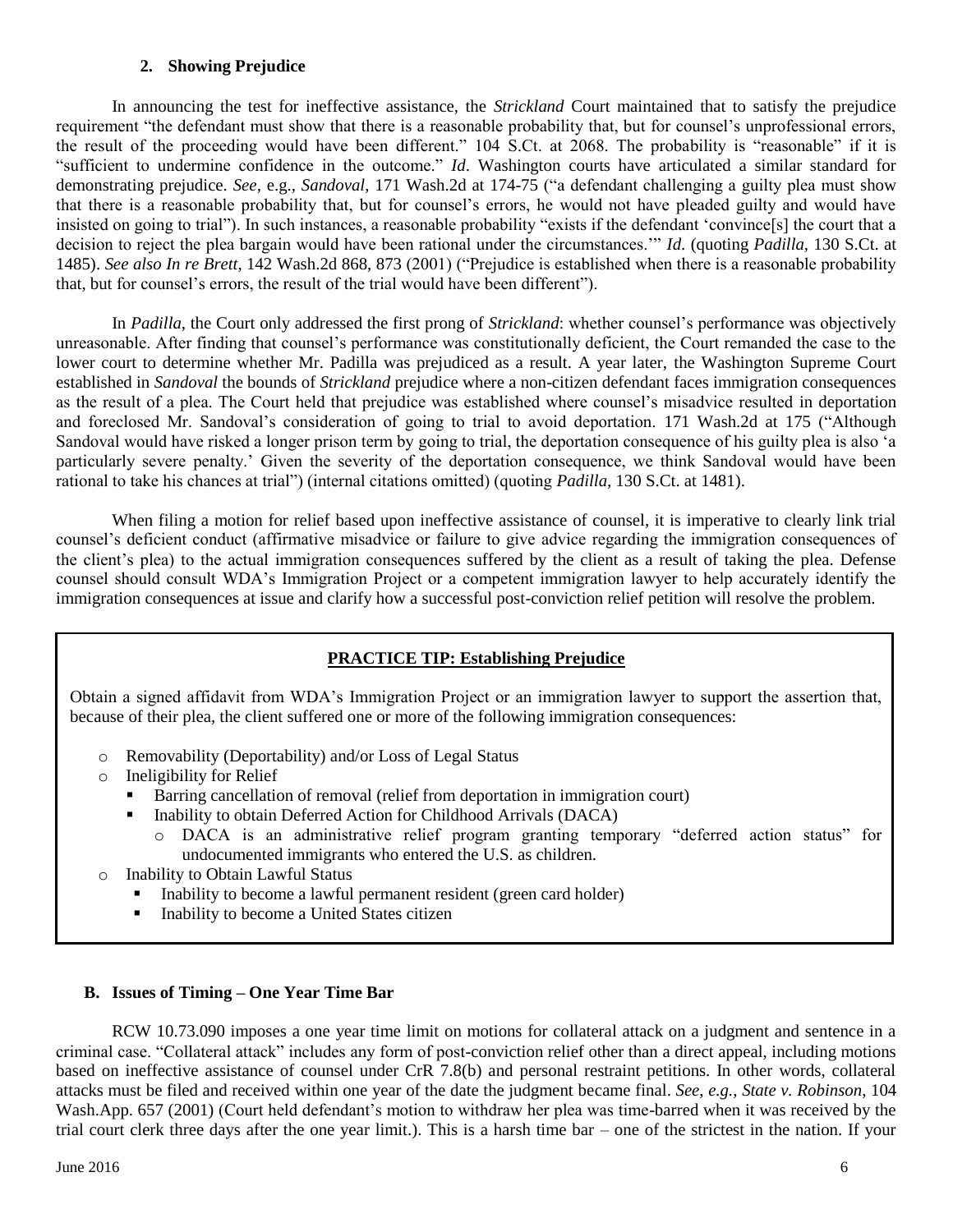## **2. Showing Prejudice**

<span id="page-6-0"></span>In announcing the test for ineffective assistance, the *Strickland* Court maintained that to satisfy the prejudice requirement "the defendant must show that there is a reasonable probability that, but for counsel's unprofessional errors, the result of the proceeding would have been different." 104 S.Ct. at 2068. The probability is "reasonable" if it is "sufficient to undermine confidence in the outcome." *Id*. Washington courts have articulated a similar standard for demonstrating prejudice. *See*, e.g., *Sandoval*, 171 Wash.2d at 174-75 ("a defendant challenging a guilty plea must show that there is a reasonable probability that, but for counsel's errors, he would not have pleaded guilty and would have insisted on going to trial"). In such instances, a reasonable probability "exists if the defendant 'convince[s] the court that a decision to reject the plea bargain would have been rational under the circumstances.'" *Id*. (quoting *Padilla,* 130 S.Ct. at 1485). *See also In re Brett*, 142 Wash.2d 868, 873 (2001) ("Prejudice is established when there is a reasonable probability that, but for counsel's errors, the result of the trial would have been different").

In *Padilla*, the Court only addressed the first prong of *Strickland*: whether counsel's performance was objectively unreasonable. After finding that counsel's performance was constitutionally deficient, the Court remanded the case to the lower court to determine whether Mr. Padilla was prejudiced as a result. A year later, the Washington Supreme Court established in *Sandoval* the bounds of *Strickland* prejudice where a non-citizen defendant faces immigration consequences as the result of a plea. The Court held that prejudice was established where counsel's misadvice resulted in deportation and foreclosed Mr. Sandoval's consideration of going to trial to avoid deportation. 171 Wash.2d at 175 ("Although Sandoval would have risked a longer prison term by going to trial, the deportation consequence of his guilty plea is also 'a particularly severe penalty.' Given the severity of the deportation consequence, we think Sandoval would have been rational to take his chances at trial") (internal citations omitted) (quoting *Padilla,* 130 S.Ct. at 1481).

When filing a motion for relief based upon ineffective assistance of counsel, it is imperative to clearly link trial counsel's deficient conduct (affirmative misadvice or failure to give advice regarding the immigration consequences of the client's plea) to the actual immigration consequences suffered by the client as a result of taking the plea. Defense counsel should consult WDA's Immigration Project or a competent immigration lawyer to help accurately identify the immigration consequences at issue and clarify how a successful post-conviction relief petition will resolve the problem.

# **PRACTICE TIP: Establishing Prejudice**

Obtain a signed affidavit from WDA's Immigration Project or an immigration lawyer to support the assertion that, because of their plea, the client suffered one or more of the following immigration consequences:

- o Removability (Deportability) and/or Loss of Legal Status
- o Ineligibility for Relief
	- Barring cancellation of removal (relief from deportation in immigration court)
		- Inability to obtain Deferred Action for Childhood Arrivals (DACA)
			- DACA is an administrative relief program granting temporary "deferred action status" for undocumented immigrants who entered the U.S. as children.
- o Inability to Obtain Lawful Status
	- Inability to become a lawful permanent resident (green card holder)
	- Inability to become a United States citizen

## <span id="page-6-1"></span>**B. Issues of Timing – One Year Time Bar**

RCW 10.73.090 imposes a one year time limit on motions for collateral attack on a judgment and sentence in a criminal case. "Collateral attack" includes any form of post-conviction relief other than a direct appeal, including motions based on ineffective assistance of counsel under CrR 7.8(b) and personal restraint petitions. In other words, collateral attacks must be filed and received within one year of the date the judgment became final. *See*, *e.g.*, *State v. Robinson*, 104 Wash.App. 657 (2001) (Court held defendant's motion to withdraw her plea was time-barred when it was received by the trial court clerk three days after the one year limit.). This is a harsh time bar – one of the strictest in the nation. If your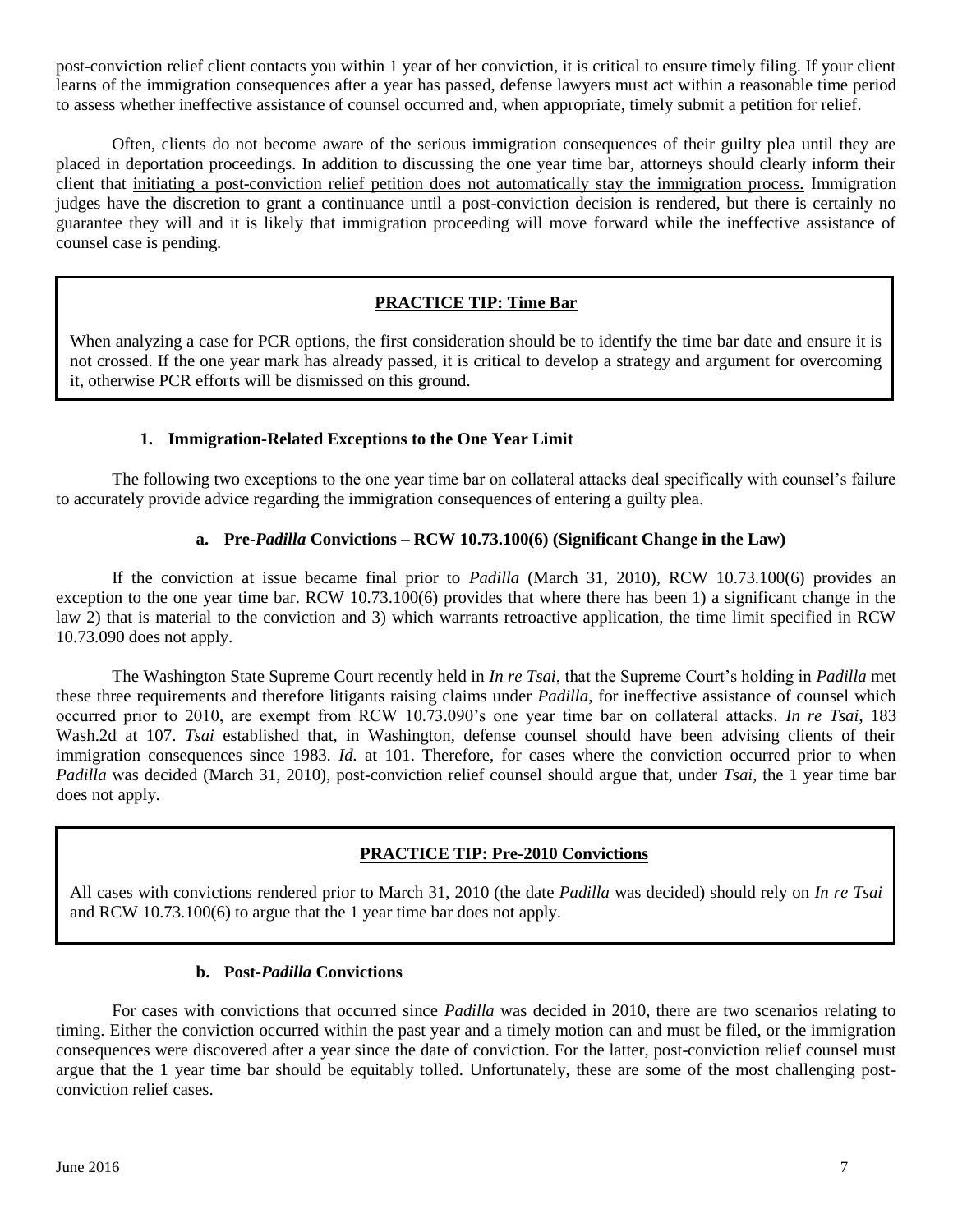post-conviction relief client contacts you within 1 year of her conviction, it is critical to ensure timely filing. If your client learns of the immigration consequences after a year has passed, defense lawyers must act within a reasonable time period to assess whether ineffective assistance of counsel occurred and, when appropriate, timely submit a petition for relief.

Often, clients do not become aware of the serious immigration consequences of their guilty plea until they are placed in deportation proceedings. In addition to discussing the one year time bar, attorneys should clearly inform their client that initiating a post-conviction relief petition does not automatically stay the immigration process. Immigration judges have the discretion to grant a continuance until a post-conviction decision is rendered, but there is certainly no guarantee they will and it is likely that immigration proceeding will move forward while the ineffective assistance of counsel case is pending.

## **PRACTICE TIP: Time Bar**

When analyzing a case for PCR options, the first consideration should be to identify the time bar date and ensure it is not crossed. If the one year mark has already passed, it is critical to develop a strategy and argument for overcoming it, otherwise PCR efforts will be dismissed on this ground.

## **1. Immigration-Related Exceptions to the One Year Limit**

<span id="page-7-0"></span>The following two exceptions to the one year time bar on collateral attacks deal specifically with counsel's failure to accurately provide advice regarding the immigration consequences of entering a guilty plea.

## **a. Pre-***Padilla* **Convictions – RCW 10.73.100(6) (Significant Change in the Law)**

<span id="page-7-1"></span>If the conviction at issue became final prior to *Padilla* (March 31, 2010), RCW 10.73.100(6) provides an exception to the one year time bar. RCW 10.73.100(6) provides that where there has been 1) a significant change in the law 2) that is material to the conviction and 3) which warrants retroactive application, the time limit specified in RCW 10.73.090 does not apply.

The Washington State Supreme Court recently held in *In re Tsai*, that the Supreme Court's holding in *Padilla* met these three requirements and therefore litigants raising claims under *Padilla*, for ineffective assistance of counsel which occurred prior to 2010, are exempt from RCW 10.73.090's one year time bar on collateral attacks. *In re Tsai*, 183 Wash.2d at 107. *Tsai* established that, in Washington, defense counsel should have been advising clients of their immigration consequences since 1983. *Id.* at 101. Therefore, for cases where the conviction occurred prior to when *Padilla* was decided (March 31, 2010), post-conviction relief counsel should argue that, under *Tsai*, the 1 year time bar does not apply.

## **PRACTICE TIP: Pre-2010 Convictions**

All cases with convictions rendered prior to March 31, 2010 (the date *Padilla* was decided) should rely on *In re Tsai* and RCW 10.73.100(6) to argue that the 1 year time bar does not apply.

## **b. Post-***Padilla* **Convictions**

<span id="page-7-2"></span>For cases with convictions that occurred since *Padilla* was decided in 2010, there are two scenarios relating to timing. Either the conviction occurred within the past year and a timely motion can and must be filed, or the immigration consequences were discovered after a year since the date of conviction. For the latter, post-conviction relief counsel must argue that the 1 year time bar should be equitably tolled. Unfortunately, these are some of the most challenging postconviction relief cases.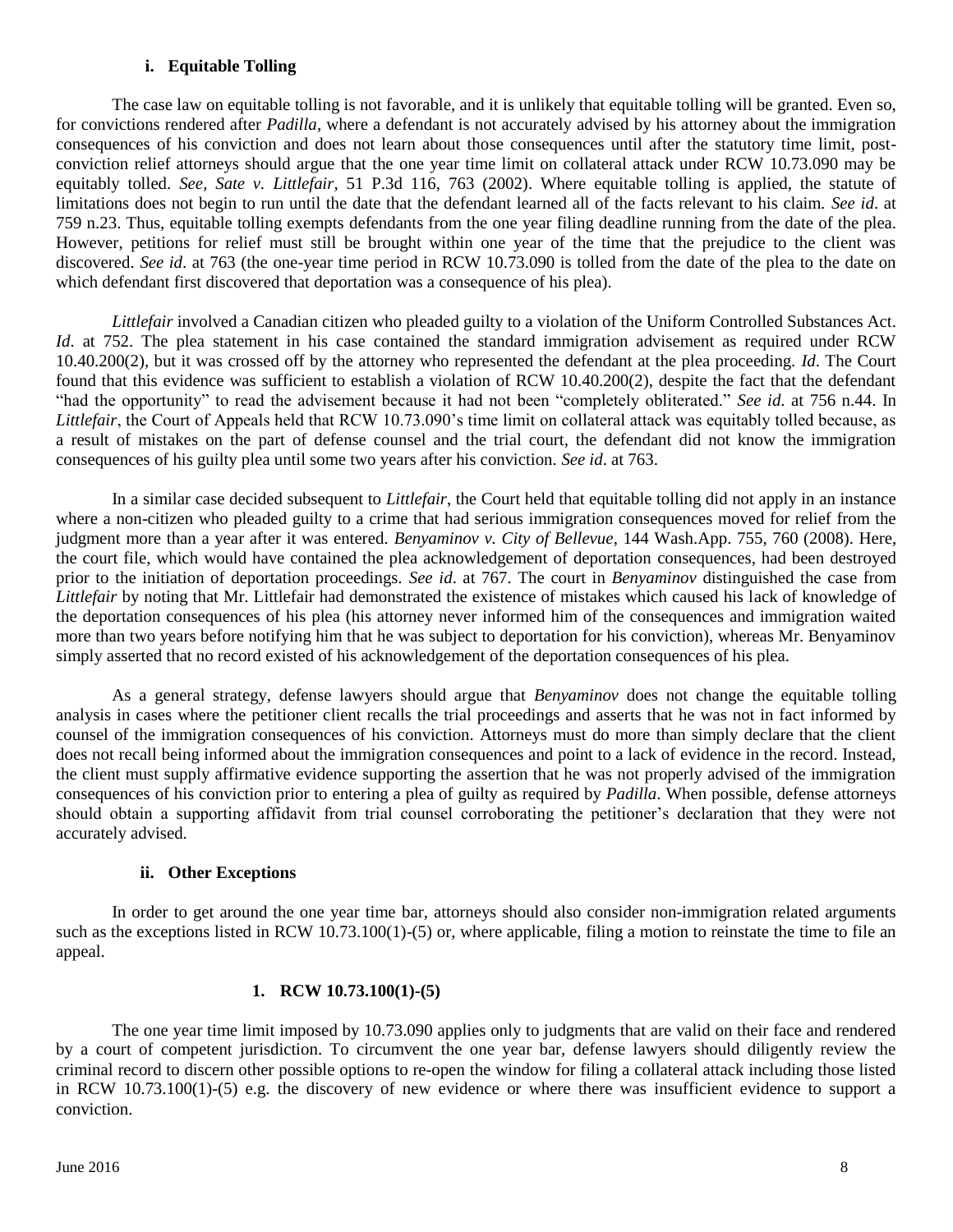#### **i. Equitable Tolling**

<span id="page-8-0"></span>The case law on equitable tolling is not favorable, and it is unlikely that equitable tolling will be granted. Even so, for convictions rendered after *Padilla*, where a defendant is not accurately advised by his attorney about the immigration consequences of his conviction and does not learn about those consequences until after the statutory time limit, postconviction relief attorneys should argue that the one year time limit on collateral attack under RCW 10.73.090 may be equitably tolled. *See*, *Sate v. Littlefair*, 51 P.3d 116, 763 (2002). Where equitable tolling is applied, the statute of limitations does not begin to run until the date that the defendant learned all of the facts relevant to his claim. *See id*. at 759 n.23. Thus, equitable tolling exempts defendants from the one year filing deadline running from the date of the plea. However, petitions for relief must still be brought within one year of the time that the prejudice to the client was discovered. *See id*. at 763 (the one-year time period in RCW 10.73.090 is tolled from the date of the plea to the date on which defendant first discovered that deportation was a consequence of his plea).

*Littlefair* involved a Canadian citizen who pleaded guilty to a violation of the Uniform Controlled Substances Act. *Id.* at 752. The plea statement in his case contained the standard immigration advisement as required under RCW 10.40.200(2), but it was crossed off by the attorney who represented the defendant at the plea proceeding. *Id*. The Court found that this evidence was sufficient to establish a violation of RCW 10.40.200(2), despite the fact that the defendant "had the opportunity" to read the advisement because it had not been "completely obliterated." *See id*. at 756 n.44. In *Littlefair*, the Court of Appeals held that RCW 10.73.090's time limit on collateral attack was equitably tolled because, as a result of mistakes on the part of defense counsel and the trial court, the defendant did not know the immigration consequences of his guilty plea until some two years after his conviction. *See id*. at 763.

In a similar case decided subsequent to *Littlefair*, the Court held that equitable tolling did not apply in an instance where a non-citizen who pleaded guilty to a crime that had serious immigration consequences moved for relief from the judgment more than a year after it was entered. *Benyaminov v. City of Bellevue*, 144 Wash.App. 755, 760 (2008). Here, the court file, which would have contained the plea acknowledgement of deportation consequences, had been destroyed prior to the initiation of deportation proceedings. *See id*. at 767. The court in *Benyaminov* distinguished the case from *Littlefair* by noting that Mr. Littlefair had demonstrated the existence of mistakes which caused his lack of knowledge of the deportation consequences of his plea (his attorney never informed him of the consequences and immigration waited more than two years before notifying him that he was subject to deportation for his conviction), whereas Mr. Benyaminov simply asserted that no record existed of his acknowledgement of the deportation consequences of his plea.

As a general strategy, defense lawyers should argue that *Benyaminov* does not change the equitable tolling analysis in cases where the petitioner client recalls the trial proceedings and asserts that he was not in fact informed by counsel of the immigration consequences of his conviction. Attorneys must do more than simply declare that the client does not recall being informed about the immigration consequences and point to a lack of evidence in the record. Instead, the client must supply affirmative evidence supporting the assertion that he was not properly advised of the immigration consequences of his conviction prior to entering a plea of guilty as required by *Padilla*. When possible, defense attorneys should obtain a supporting affidavit from trial counsel corroborating the petitioner's declaration that they were not accurately advised.

#### **ii. Other Exceptions**

<span id="page-8-1"></span>In order to get around the one year time bar, attorneys should also consider non-immigration related arguments such as the exceptions listed in RCW 10.73.100(1)-(5) or, where applicable, filing a motion to reinstate the time to file an appeal.

#### **1. RCW 10.73.100(1)-(5)**

The one year time limit imposed by 10.73.090 applies only to judgments that are valid on their face and rendered by a court of competent jurisdiction. To circumvent the one year bar, defense lawyers should diligently review the criminal record to discern other possible options to re-open the window for filing a collateral attack including those listed in RCW 10.73.100(1)-(5) e.g. the discovery of new evidence or where there was insufficient evidence to support a conviction.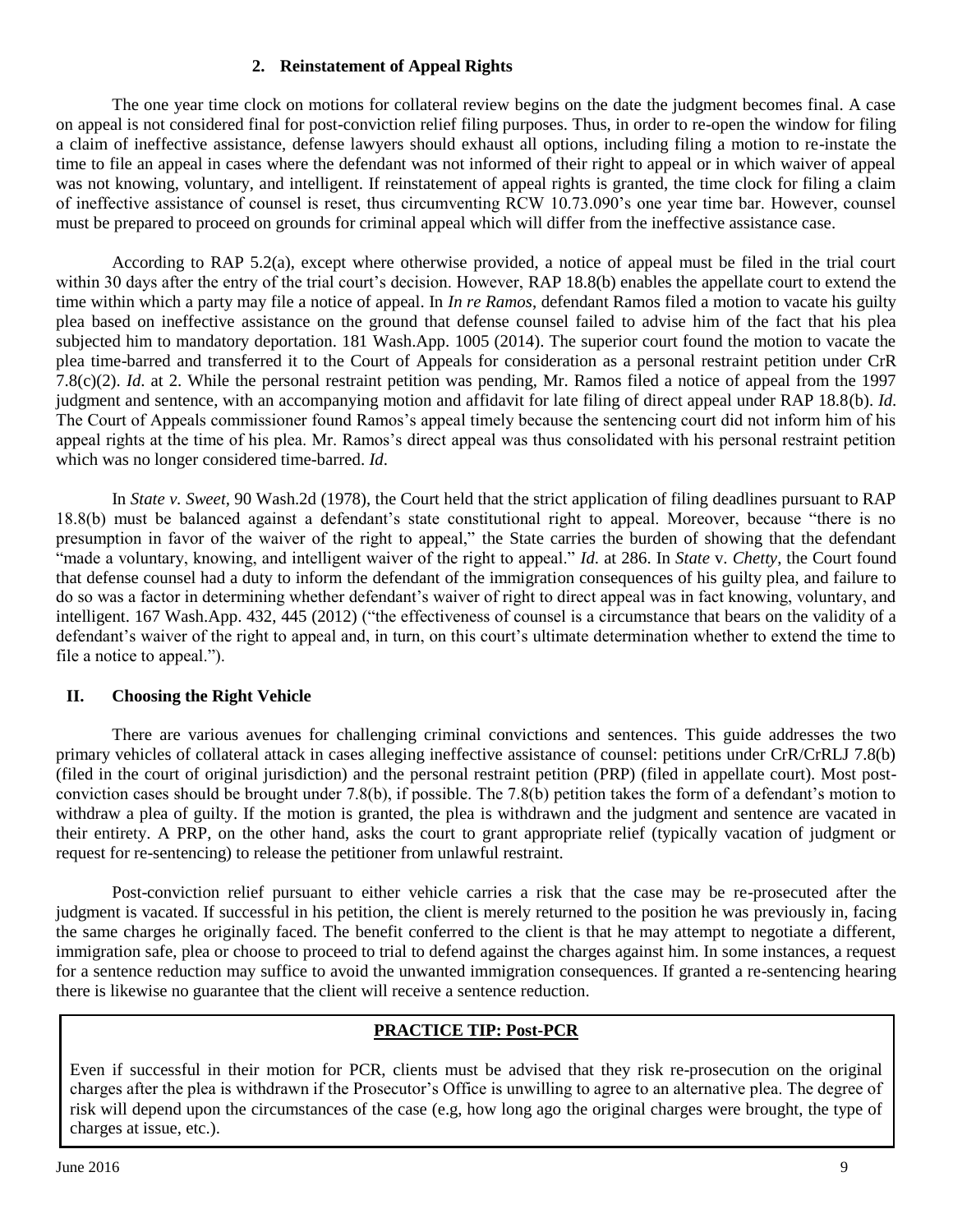## **2. Reinstatement of Appeal Rights**

The one year time clock on motions for collateral review begins on the date the judgment becomes final. A case on appeal is not considered final for post-conviction relief filing purposes. Thus, in order to re-open the window for filing a claim of ineffective assistance, defense lawyers should exhaust all options, including filing a motion to re-instate the time to file an appeal in cases where the defendant was not informed of their right to appeal or in which waiver of appeal was not knowing, voluntary, and intelligent. If reinstatement of appeal rights is granted, the time clock for filing a claim of ineffective assistance of counsel is reset, thus circumventing RCW 10.73.090's one year time bar. However, counsel must be prepared to proceed on grounds for criminal appeal which will differ from the ineffective assistance case.

According to RAP 5.2(a), except where otherwise provided, a notice of appeal must be filed in the trial court within 30 days after the entry of the trial court's decision. However, RAP 18.8(b) enables the appellate court to extend the time within which a party may file a notice of appeal. In *In re Ramos*, defendant Ramos filed a motion to vacate his guilty plea based on ineffective assistance on the ground that defense counsel failed to advise him of the fact that his plea subjected him to mandatory deportation. 181 Wash.App. 1005 (2014). The superior court found the motion to vacate the plea time-barred and transferred it to the Court of Appeals for consideration as a personal restraint petition under CrR 7.8(c)(2). *Id*. at 2. While the personal restraint petition was pending, Mr. Ramos filed a notice of appeal from the 1997 judgment and sentence, with an accompanying motion and affidavit for late filing of direct appeal under RAP 18.8(b). *Id*. The Court of Appeals commissioner found Ramos's appeal timely because the sentencing court did not inform him of his appeal rights at the time of his plea. Mr. Ramos's direct appeal was thus consolidated with his personal restraint petition which was no longer considered time-barred. *Id*.

In *State v. Sweet,* [90 Wash.2d](http://www.westlaw.com/Find/Default.wl?rs=dfa1.0&vr=2.0&DB=661&FindType=Y&SerialNum=1978129807) (1978), the Court held that the strict application of filing deadlines pursuant to RAP 18.8(b) must be balanced against a defendant's state constitutional right to appeal. Moreover, because "there is no presumption in favor of the waiver of the right to appeal," the State carries the burden of showing that the defendant "made a voluntary, knowing, and intelligent waiver of the right to appeal." *Id*. at 286. In *State* v. *Chetty*, the Court found that defense counsel had a duty to inform the defendant of the immigration consequences of his guilty plea, and failure to do so was a factor in determining whether defendant's waiver of right to direct appeal was in fact knowing, voluntary, and intelligent. 167 Wash.App. 432, 445 (2012) ("the effectiveness of counsel is a circumstance that bears on the validity of a defendant's waiver of the right to appeal and, in turn, on this court's ultimate determination whether to extend the time to file a notice to appeal.").

# <span id="page-9-0"></span>**II. Choosing the Right Vehicle**

There are various avenues for challenging criminal convictions and sentences. This guide addresses the two primary vehicles of collateral attack in cases alleging ineffective assistance of counsel: petitions under CrR/CrRLJ 7.8(b) (filed in the court of original jurisdiction) and the personal restraint petition (PRP) (filed in appellate court). Most postconviction cases should be brought under 7.8(b), if possible. The 7.8(b) petition takes the form of a defendant's motion to withdraw a plea of guilty. If the motion is granted, the plea is withdrawn and the judgment and sentence are vacated in their entirety. A PRP, on the other hand, asks the court to grant appropriate relief (typically vacation of judgment or request for re-sentencing) to release the petitioner from unlawful restraint.

Post-conviction relief pursuant to either vehicle carries a risk that the case may be re-prosecuted after the judgment is vacated. If successful in his petition, the client is merely returned to the position he was previously in, facing the same charges he originally faced. The benefit conferred to the client is that he may attempt to negotiate a different, immigration safe, plea or choose to proceed to trial to defend against the charges against him. In some instances, a request for a sentence reduction may suffice to avoid the unwanted immigration consequences. If granted a re-sentencing hearing there is likewise no guarantee that the client will receive a sentence reduction.

# **PRACTICE TIP: Post-PCR**

Even if successful in their motion for PCR, clients must be advised that they risk re-prosecution on the original charges after the plea is withdrawn if the Prosecutor's Office is unwilling to agree to an alternative plea. The degree of risk will depend upon the circumstances of the case (e.g, how long ago the original charges were brought, the type of charges at issue, etc.).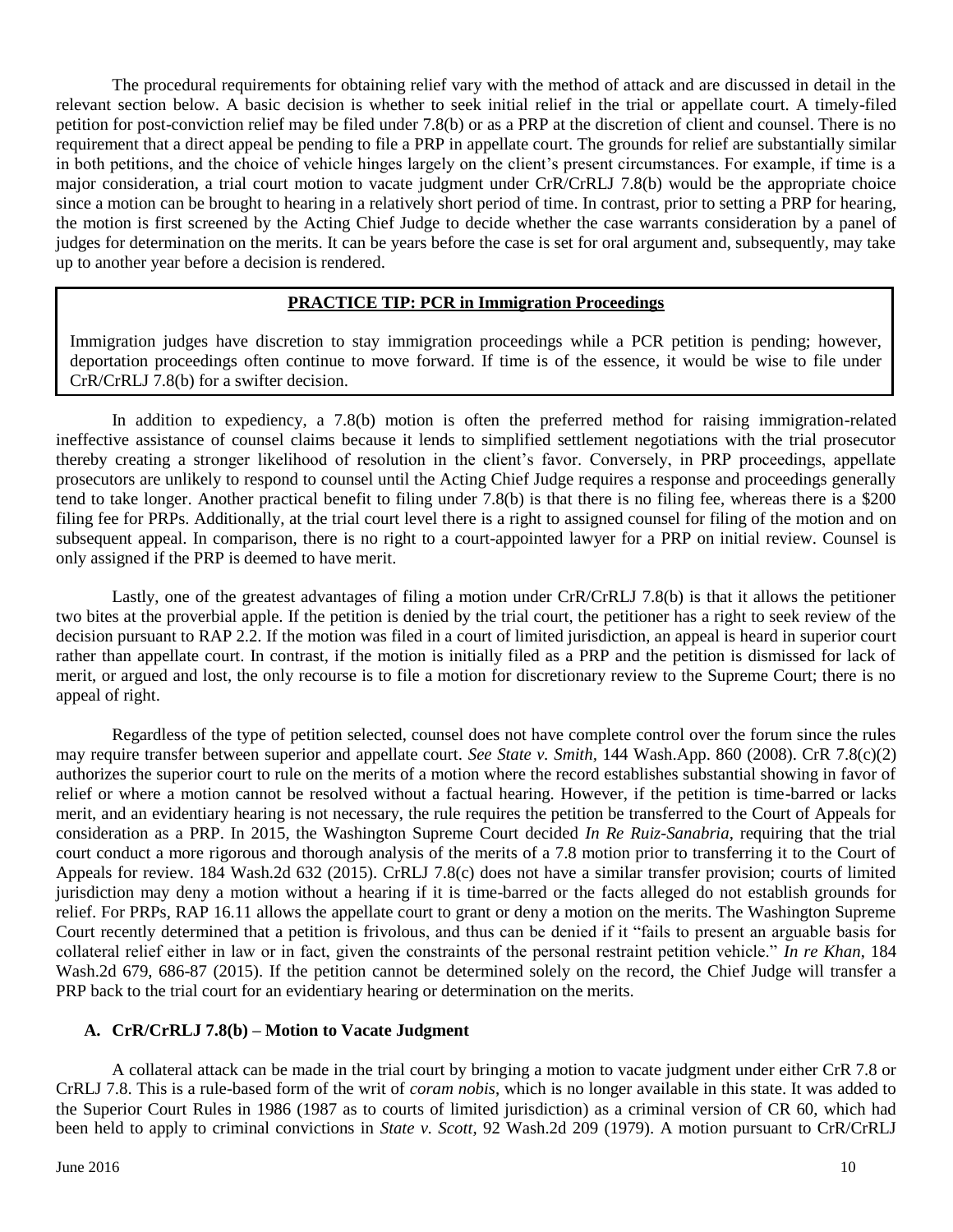The procedural requirements for obtaining relief vary with the method of attack and are discussed in detail in the relevant section below. A basic decision is whether to seek initial relief in the trial or appellate court. A timely-filed petition for post-conviction relief may be filed under 7.8(b) or as a PRP at the discretion of client and counsel. There is no requirement that a direct appeal be pending to file a PRP in appellate court. The grounds for relief are substantially similar in both petitions, and the choice of vehicle hinges largely on the client's present circumstances. For example, if time is a major consideration, a trial court motion to vacate judgment under CrR/CrRLJ 7.8(b) would be the appropriate choice since a motion can be brought to hearing in a relatively short period of time. In contrast, prior to setting a PRP for hearing, the motion is first screened by the Acting Chief Judge to decide whether the case warrants consideration by a panel of judges for determination on the merits. It can be years before the case is set for oral argument and, subsequently, may take up to another year before a decision is rendered.

## **PRACTICE TIP: PCR in Immigration Proceedings**

Immigration judges have discretion to stay immigration proceedings while a PCR petition is pending; however, deportation proceedings often continue to move forward. If time is of the essence, it would be wise to file under CrR/CrRLJ 7.8(b) for a swifter decision.

In addition to expediency, a 7.8(b) motion is often the preferred method for raising immigration-related ineffective assistance of counsel claims because it lends to simplified settlement negotiations with the trial prosecutor thereby creating a stronger likelihood of resolution in the client's favor. Conversely, in PRP proceedings, appellate prosecutors are unlikely to respond to counsel until the Acting Chief Judge requires a response and proceedings generally tend to take longer. Another practical benefit to filing under 7.8(b) is that there is no filing fee, whereas there is a \$200 filing fee for PRPs. Additionally, at the trial court level there is a right to assigned counsel for filing of the motion and on subsequent appeal. In comparison, there is no right to a court-appointed lawyer for a PRP on initial review. Counsel is only assigned if the PRP is deemed to have merit.

Lastly, one of the greatest advantages of filing a motion under CrR/CrRLJ 7.8(b) is that it allows the petitioner two bites at the proverbial apple. If the petition is denied by the trial court, the petitioner has a right to seek review of the decision pursuant to RAP 2.2. If the motion was filed in a court of limited jurisdiction, an appeal is heard in superior court rather than appellate court. In contrast, if the motion is initially filed as a PRP and the petition is dismissed for lack of merit, or argued and lost, the only recourse is to file a motion for discretionary review to the Supreme Court; there is no appeal of right.

Regardless of the type of petition selected, counsel does not have complete control over the forum since the rules may require transfer between superior and appellate court. *See State v. Smith,* 144 Wash.App. 860 (2008). CrR 7.8(c)(2) authorizes the superior court to rule on the merits of a motion where the record establishes substantial showing in favor of relief or where a motion cannot be resolved without a factual hearing. However, if the petition is time-barred or lacks merit, and an evidentiary hearing is not necessary, the rule requires the petition be transferred to the Court of Appeals for consideration as a PRP. In 2015, the Washington Supreme Court decided *In Re Ruiz-Sanabria*, requiring that the trial court conduct a more rigorous and thorough analysis of the merits of a 7.8 motion prior to transferring it to the Court of Appeals for review. 184 Wash.2d 632 (2015). CrRLJ 7.8(c) does not have a similar transfer provision; courts of limited jurisdiction may deny a motion without a hearing if it is time-barred or the facts alleged do not establish grounds for relief. For PRPs, RAP 16.11 allows the appellate court to grant or deny a motion on the merits. The Washington Supreme Court recently determined that a petition is frivolous, and thus can be denied if it "fails to present an arguable basis for collateral relief either in law or in fact, given the constraints of the personal restraint petition vehicle." *In re Khan*, 184 Wash.2d 679, 686-87 (2015). If the petition cannot be determined solely on the record, the Chief Judge will transfer a PRP back to the trial court for an evidentiary hearing or determination on the merits.

#### <span id="page-10-0"></span>**A. CrR/CrRLJ 7.8(b) – Motion to Vacate Judgment**

A collateral attack can be made in the trial court by bringing a motion to vacate judgment under either CrR 7.8 or CrRLJ 7.8. This is a rule-based form of the writ of *coram nobis*, which is no longer available in this state. It was added to the Superior Court Rules in 1986 (1987 as to courts of limited jurisdiction) as a criminal version of CR 60, which had been held to apply to criminal convictions in *State v. Scott*, 92 Wash.2d 209 (1979). A motion pursuant to CrR/CrRLJ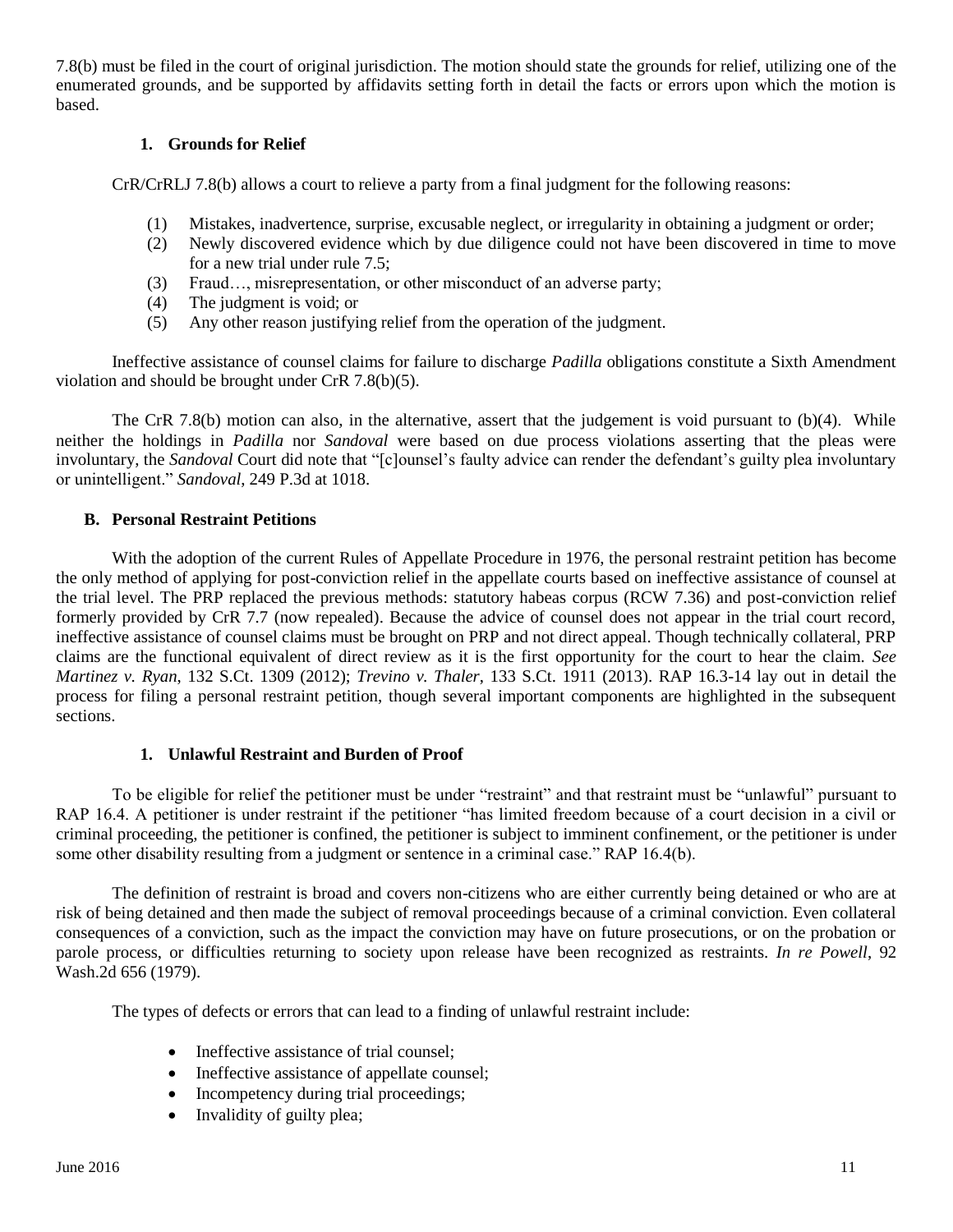<span id="page-11-0"></span>7.8(b) must be filed in the court of original jurisdiction. The motion should state the grounds for relief, utilizing one of the enumerated grounds, and be supported by affidavits setting forth in detail the facts or errors upon which the motion is based.

## **1. Grounds for Relief**

CrR/CrRLJ 7.8(b) allows a court to relieve a party from a final judgment for the following reasons:

- (1) Mistakes, inadvertence, surprise, excusable neglect, or irregularity in obtaining a judgment or order;
- (2) Newly discovered evidence which by due diligence could not have been discovered in time to move for a new trial under rule 7.5;
- (3) Fraud…, misrepresentation, or other misconduct of an adverse party;
- (4) The judgment is void; or
- (5) Any other reason justifying relief from the operation of the judgment.

Ineffective assistance of counsel claims for failure to discharge *Padilla* obligations constitute a Sixth Amendment violation and should be brought under CrR 7.8(b)(5).

The CrR 7.8(b) motion can also, in the alternative, assert that the judgement is void pursuant to (b)(4). While neither the holdings in *Padilla* nor *Sandoval* were based on due process violations asserting that the pleas were involuntary, the *Sandoval* Court did note that "[c]ounsel's faulty advice can render the defendant's guilty plea involuntary or unintelligent." *Sandoval*, 249 P.3d at 1018.

## <span id="page-11-1"></span>**B. Personal Restraint Petitions**

With the adoption of the current Rules of Appellate Procedure in 1976, the personal restraint petition has become the only method of applying for post-conviction relief in the appellate courts based on ineffective assistance of counsel at the trial level. The PRP replaced the previous methods: statutory habeas corpus (RCW 7.36) and post-conviction relief formerly provided by CrR 7.7 (now repealed). Because the advice of counsel does not appear in the trial court record, ineffective assistance of counsel claims must be brought on PRP and not direct appeal. Though technically collateral, PRP claims are the functional equivalent of direct review as it is the first opportunity for the court to hear the claim. *See Martinez v. Ryan*, 132 S.Ct. 1309 (2012); *Trevino v. Thaler*, 133 S.Ct. 1911 (2013). RAP 16.3-14 lay out in detail the process for filing a personal restraint petition, though several important components are highlighted in the subsequent sections.

## **1. Unlawful Restraint and Burden of Proof**

<span id="page-11-2"></span>To be eligible for relief the petitioner must be under "restraint" and that restraint must be "unlawful" pursuant to RAP 16.4. A petitioner is under restraint if the petitioner "has limited freedom because of a court decision in a civil or criminal proceeding, the petitioner is confined, the petitioner is subject to imminent confinement, or the petitioner is under some other disability resulting from a judgment or sentence in a criminal case." RAP 16.4(b).

The definition of restraint is broad and covers non-citizens who are either currently being detained or who are at risk of being detained and then made the subject of removal proceedings because of a criminal conviction. Even collateral consequences of a conviction, such as the impact the conviction may have on future prosecutions, or on the probation or parole process, or difficulties returning to society upon release have been recognized as restraints. *In re Powell*, 92 Wash.2d 656 (1979).

The types of defects or errors that can lead to a finding of unlawful restraint include:

- Ineffective assistance of trial counsel;
- Ineffective assistance of appellate counsel;
- Incompetency during trial proceedings;
- Invalidity of guilty plea;